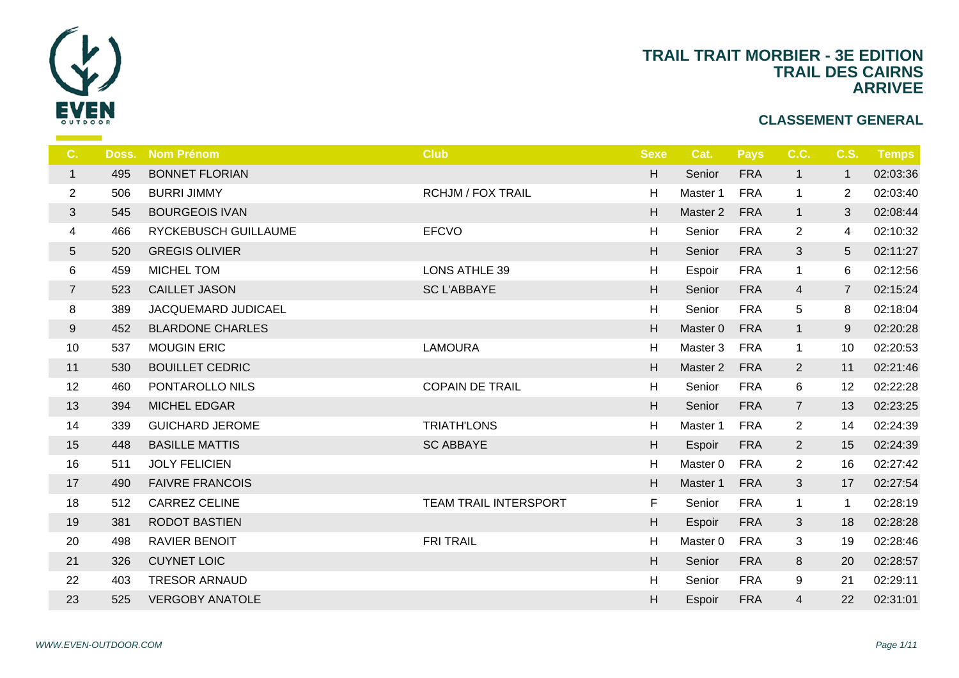

| <b>TRAIL</b> |  |
|--------------|--|
|              |  |

| C.             | Doss. | <b>Nom Prénom</b>       | <b>Club</b>                  | <b>Sexe</b>               |                |
|----------------|-------|-------------------------|------------------------------|---------------------------|----------------|
| $\mathbf{1}$   | 495   | <b>BONNET FLORIAN</b>   |                              | $\boldsymbol{\mathsf{H}}$ | S <sub>d</sub> |
| $\overline{c}$ | 506   | <b>BURRI JIMMY</b>      | <b>RCHJM / FOX TRAIL</b>     | H                         | Ma             |
| $\mathfrak{S}$ | 545   | <b>BOURGEOIS IVAN</b>   |                              | H                         | Mas            |
| 4              | 466   | RYCKEBUSCH GUILLAUME    | <b>EFCVO</b>                 | H                         | S <sub>d</sub> |
| 5              | 520   | <b>GREGIS OLIVIER</b>   |                              | H                         | S <sub>6</sub> |
| 6              | 459   | MICHEL TOM              | LONS ATHLE 39                | H                         | Es             |
| $\overline{7}$ | 523   | <b>CAILLET JASON</b>    | <b>SC L'ABBAYE</b>           | H                         | S <sub>6</sub> |
| 8              | 389   | JACQUEMARD JUDICAEL     |                              | $\boldsymbol{\mathsf{H}}$ | S <sub>6</sub> |
| 9              | 452   | <b>BLARDONE CHARLES</b> |                              | H                         | Ma:            |
| 10             | 537   | <b>MOUGIN ERIC</b>      | <b>LAMOURA</b>               | H                         | Ma             |
| 11             | 530   | <b>BOUILLET CEDRIC</b>  |                              | H                         | Ma:            |
| 12             | 460   | PONTAROLLO NILS         | <b>COPAIN DE TRAIL</b>       | H                         | S6             |
| 13             | 394   | MICHEL EDGAR            |                              | H                         | S <sub>6</sub> |
| 14             | 339   | <b>GUICHARD JEROME</b>  | <b>TRIATH'LONS</b>           | H                         | Ma             |
| 15             | 448   | <b>BASILLE MATTIS</b>   | <b>SC ABBAYE</b>             | H                         | Es             |
| 16             | 511   | <b>JOLY FELICIEN</b>    |                              | H                         | Ma             |
| 17             | 490   | <b>FAIVRE FRANCOIS</b>  |                              | H                         | Ma             |
| 18             | 512   | <b>CARREZ CELINE</b>    | <b>TEAM TRAIL INTERSPORT</b> | F                         | S6             |
| 19             | 381   | <b>RODOT BASTIEN</b>    |                              | H                         | Es             |
| 20             | 498   | <b>RAVIER BENOIT</b>    | <b>FRITRAIL</b>              | H                         | Ma             |
| 21             | 326   | <b>CUYNET LOIC</b>      |                              | H                         | S <sub>6</sub> |
| 22             | 403   | <b>TRESOR ARNAUD</b>    |                              | H                         | S <sub>6</sub> |
| 23             | 525   | <b>VERGOBY ANATOLE</b>  |                              | H                         | Es             |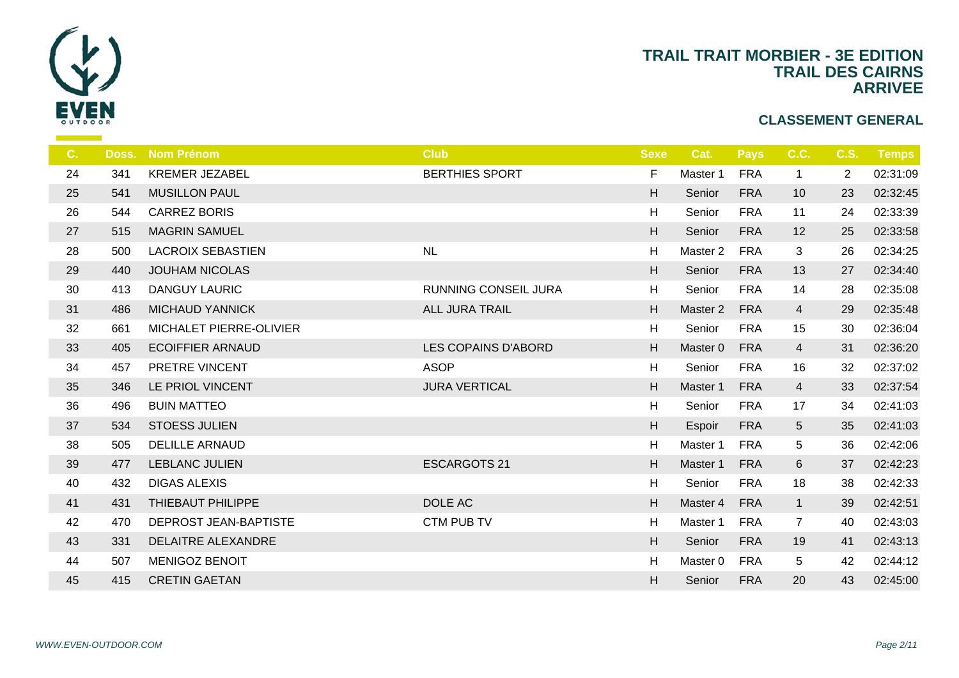

| $C_{1}$ | Doss. | <b>Nom Prénom</b>        | <b>Club</b>           | <b>Sexe</b>               |                |
|---------|-------|--------------------------|-----------------------|---------------------------|----------------|
| 24      | 341   | <b>KREMER JEZABEL</b>    | <b>BERTHIES SPORT</b> | F                         | Ma             |
| 25      | 541   | <b>MUSILLON PAUL</b>     |                       | H                         | S <sub>6</sub> |
| 26      | 544   | <b>CARREZ BORIS</b>      |                       | H                         | $S_{\epsilon}$ |
| 27      | 515   | <b>MAGRIN SAMUEL</b>     |                       | $\boldsymbol{\mathsf{H}}$ | S <sub>6</sub> |
| 28      | 500   | <b>LACROIX SEBASTIEN</b> | NL                    | H                         | Ma             |
| 29      | 440   | <b>JOUHAM NICOLAS</b>    |                       | H                         | S <sub>6</sub> |
| 30      | 413   | DANGUY LAURIC            | RUNNING CONSEIL JURA  | H                         | S <sub>6</sub> |
| 31      | 486   | <b>MICHAUD YANNICK</b>   | <b>ALL JURA TRAIL</b> | H                         | Ma             |
| 32      | 661   | MICHALET PIERRE-OLIVIER  |                       | H                         | S <sub>6</sub> |
| 33      | 405   | <b>ECOIFFIER ARNAUD</b>  | LES COPAINS D'ABORD   | H                         | Ma             |
| 34      | 457   | PRETRE VINCENT           | <b>ASOP</b>           | H                         | S <sub>6</sub> |
| 35      | 346   | LE PRIOL VINCENT         | <b>JURA VERTICAL</b>  | H                         | Ma             |
| 36      | 496   | <b>BUIN MATTEO</b>       |                       | H                         | S <sub>6</sub> |
| 37      | 534   | <b>STOESS JULIEN</b>     |                       | $\boldsymbol{\mathsf{H}}$ | Es             |
| 38      | 505   | <b>DELILLE ARNAUD</b>    |                       | H                         | Ma             |
| 39      | 477   | <b>LEBLANC JULIEN</b>    | <b>ESCARGOTS 21</b>   | H                         | Ma             |
| 40      | 432   | <b>DIGAS ALEXIS</b>      |                       | $\boldsymbol{\mathsf{H}}$ | S <sub>6</sub> |
| 41      | 431   | THIEBAUT PHILIPPE        | DOLE AC               | H                         | Ma             |
| 42      | 470   | DEPROST JEAN-BAPTISTE    | CTM PUB TV            | H                         | Ma             |
| 43      | 331   | DELAITRE ALEXANDRE       |                       | H                         | S <sub>6</sub> |
| 44      | 507   | <b>MENIGOZ BENOIT</b>    |                       | H                         | Ma             |
| 45      | 415   | <b>CRETIN GAETAN</b>     |                       | H                         | S <sub>6</sub> |
|         |       |                          |                       |                           |                |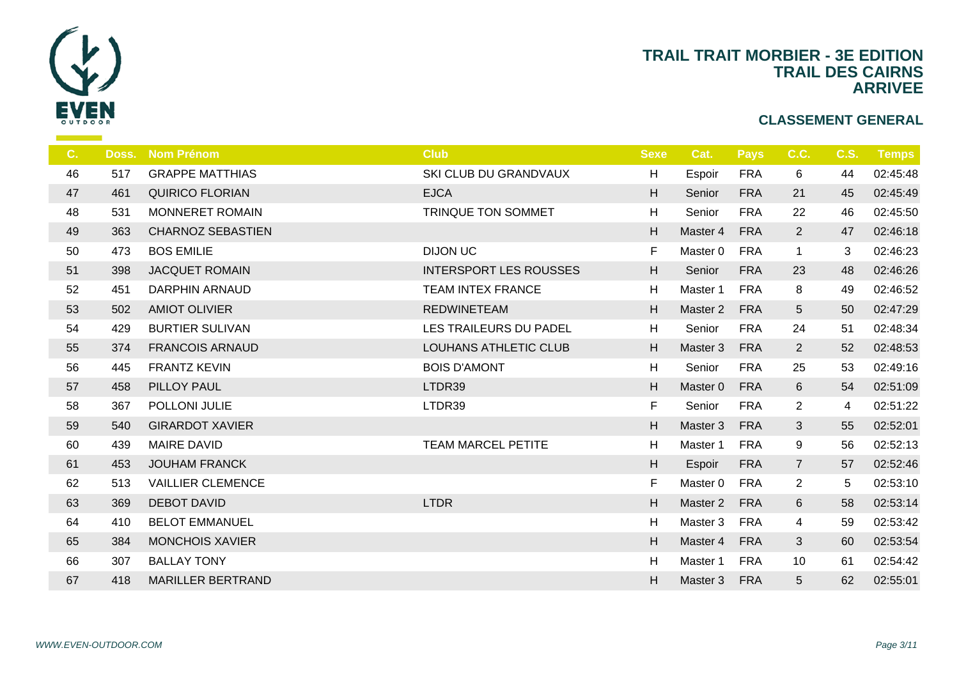

| C. |     | Doss. Nom Prénom         | <b>Club</b>                   | <b>Sexe</b>               | $\overline{\mathbf{C}}$ |
|----|-----|--------------------------|-------------------------------|---------------------------|-------------------------|
| 46 | 517 | <b>GRAPPE MATTHIAS</b>   | SKI CLUB DU GRANDVAUX         | H                         | Es                      |
| 47 | 461 | <b>QUIRICO FLORIAN</b>   | <b>EJCA</b>                   | H                         | S <sub>d</sub>          |
| 48 | 531 | MONNERET ROMAIN          | TRINQUE TON SOMMET            | H                         | S <sub>d</sub>          |
| 49 | 363 | <b>CHARNOZ SEBASTIEN</b> |                               | H                         | Ma                      |
| 50 | 473 | <b>BOS EMILIE</b>        | <b>DIJON UC</b>               | F.                        | Ma                      |
| 51 | 398 | <b>JACQUET ROMAIN</b>    | <b>INTERSPORT LES ROUSSES</b> | H                         | S <sub>6</sub>          |
| 52 | 451 | <b>DARPHIN ARNAUD</b>    | <b>TEAM INTEX FRANCE</b>      | H                         | Ma                      |
| 53 | 502 | <b>AMIOT OLIVIER</b>     | <b>REDWINETEAM</b>            | H                         | Ma                      |
| 54 | 429 | <b>BURTIER SULIVAN</b>   | LES TRAILEURS DU PADEL        | H                         | S <sub>6</sub>          |
| 55 | 374 | <b>FRANCOIS ARNAUD</b>   | <b>LOUHANS ATHLETIC CLUB</b>  | H                         | Ma                      |
| 56 | 445 | <b>FRANTZ KEVIN</b>      | <b>BOIS D'AMONT</b>           | H                         | S <sub>d</sub>          |
| 57 | 458 | PILLOY PAUL              | LTDR39                        | H                         | Ma                      |
| 58 | 367 | POLLONI JULIE            | LTDR39                        | F                         | S <sub>d</sub>          |
| 59 | 540 | <b>GIRARDOT XAVIER</b>   |                               | H                         | Ma                      |
| 60 | 439 | <b>MAIRE DAVID</b>       | <b>TEAM MARCEL PETITE</b>     | H                         | Ma                      |
| 61 | 453 | <b>JOUHAM FRANCK</b>     |                               | H                         | Es                      |
| 62 | 513 | <b>VAILLIER CLEMENCE</b> |                               | F                         | Ma                      |
| 63 | 369 | <b>DEBOT DAVID</b>       | <b>LTDR</b>                   | H                         | Ma                      |
| 64 | 410 | <b>BELOT EMMANUEL</b>    |                               | H                         | Ma                      |
| 65 | 384 | <b>MONCHOIS XAVIER</b>   |                               | H                         | Ma                      |
| 66 | 307 | <b>BALLAY TONY</b>       |                               | $\boldsymbol{\mathsf{H}}$ | Ma                      |
| 67 | 418 | <b>MARILLER BERTRAND</b> |                               | H                         | Ma                      |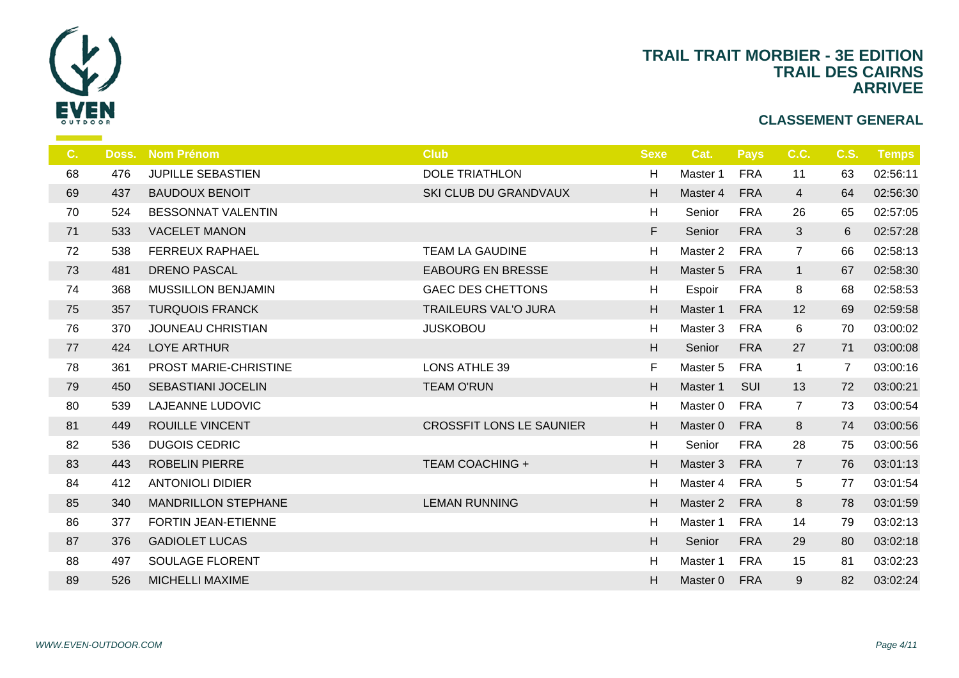

| C. | Doss. | <b>Nom Prénom</b>          | <b>Club</b>                     | <b>Sexe</b> |                |
|----|-------|----------------------------|---------------------------------|-------------|----------------|
| 68 | 476   | <b>JUPILLE SEBASTIEN</b>   | <b>DOLE TRIATHLON</b>           | H           | Ma:            |
| 69 | 437   | <b>BAUDOUX BENOIT</b>      | SKI CLUB DU GRANDVAUX           | H           | Mas            |
| 70 | 524   | <b>BESSONNAT VALENTIN</b>  |                                 | H           | S <sub>6</sub> |
| 71 | 533   | <b>VACELET MANON</b>       |                                 | F           | S <sub>6</sub> |
| 72 | 538   | <b>FERREUX RAPHAEL</b>     | <b>TEAM LA GAUDINE</b>          | H           | Ma             |
| 73 | 481   | <b>DRENO PASCAL</b>        | <b>EABOURG EN BRESSE</b>        | H           | Ma             |
| 74 | 368   | <b>MUSSILLON BENJAMIN</b>  | <b>GAEC DES CHETTONS</b>        | H           | Es             |
| 75 | 357   | <b>TURQUOIS FRANCK</b>     | <b>TRAILEURS VAL'O JURA</b>     | H           | Ma             |
| 76 | 370   | <b>JOUNEAU CHRISTIAN</b>   | <b>JUSKOBOU</b>                 | H           | Ma             |
| 77 | 424   | <b>LOYE ARTHUR</b>         |                                 | H           | S <sub>6</sub> |
| 78 | 361   | PROST MARIE-CHRISTINE      | <b>LONS ATHLE 39</b>            | F           | Ma             |
| 79 | 450   | <b>SEBASTIANI JOCELIN</b>  | <b>TEAM O'RUN</b>               | H           | Mas            |
| 80 | 539   | <b>LAJEANNE LUDOVIC</b>    |                                 | H           | Ma             |
| 81 | 449   | <b>ROUILLE VINCENT</b>     | <b>CROSSFIT LONS LE SAUNIER</b> | $\mathsf H$ | Mas            |
| 82 | 536   | <b>DUGOIS CEDRIC</b>       |                                 | H           | S <sub>d</sub> |
| 83 | 443   | <b>ROBELIN PIERRE</b>      | <b>TEAM COACHING +</b>          | H           | Ma             |
| 84 | 412   | <b>ANTONIOLI DIDIER</b>    |                                 | H           | Ma             |
| 85 | 340   | <b>MANDRILLON STEPHANE</b> | <b>LEMAN RUNNING</b>            | H           | Ma             |
| 86 | 377   | FORTIN JEAN-ETIENNE        |                                 | H           | Ma             |
| 87 | 376   | <b>GADIOLET LUCAS</b>      |                                 | H           | S <sub>6</sub> |
| 88 | 497   | SOULAGE FLORENT            |                                 | H           | Ma             |
| 89 | 526   | <b>MICHELLI MAXIME</b>     |                                 | H           | Mas            |
|    |       |                            |                                 |             |                |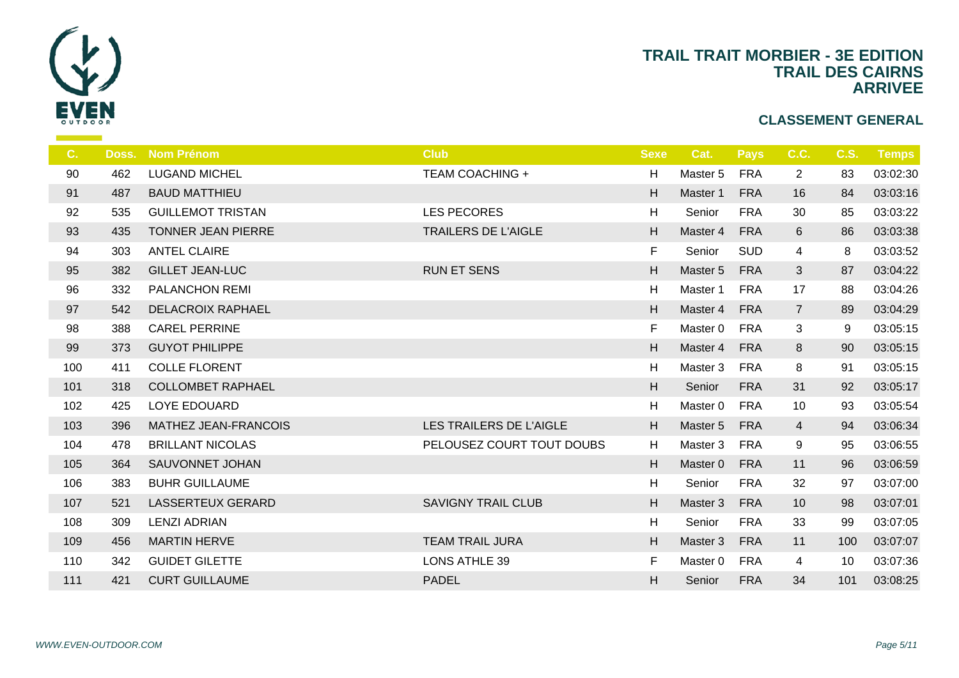

| C.  |     | Doss. Nom Prénom          | <b>Club</b>                | <b>Sexe</b> | $\mathbf C$    |
|-----|-----|---------------------------|----------------------------|-------------|----------------|
| 90  | 462 | <b>LUGAND MICHEL</b>      | <b>TEAM COACHING +</b>     | H           | Ma             |
| 91  | 487 | <b>BAUD MATTHIEU</b>      |                            | H           | Ma             |
| 92  | 535 | <b>GUILLEMOT TRISTAN</b>  | <b>LES PECORES</b>         | H           | Se             |
| 93  | 435 | <b>TONNER JEAN PIERRE</b> | <b>TRAILERS DE L'AIGLE</b> | H           | Ma             |
| 94  | 303 | <b>ANTEL CLAIRE</b>       |                            | F           | Se             |
| 95  | 382 | <b>GILLET JEAN-LUC</b>    | <b>RUN ET SENS</b>         | H           | Ma             |
| 96  | 332 | <b>PALANCHON REMI</b>     |                            | H           | Ma             |
| 97  | 542 | <b>DELACROIX RAPHAEL</b>  |                            | H           | Ma             |
| 98  | 388 | <b>CAREL PERRINE</b>      |                            | F           | Ma             |
| 99  | 373 | <b>GUYOT PHILIPPE</b>     |                            | H           | Ma             |
| 100 | 411 | <b>COLLE FLORENT</b>      |                            | H           | Ma             |
| 101 | 318 | <b>COLLOMBET RAPHAEL</b>  |                            | H           | S <sub>d</sub> |
| 102 | 425 | LOYE EDOUARD              |                            | H           | Ma             |
| 103 | 396 | MATHEZ JEAN-FRANCOIS      | LES TRAILERS DE L'AIGLE    | H           | Ma             |
| 104 | 478 | <b>BRILLANT NICOLAS</b>   | PELOUSEZ COURT TOUT DOUBS  | H           | Ma             |
| 105 | 364 | SAUVONNET JOHAN           |                            | H           | Ma             |
| 106 | 383 | <b>BUHR GUILLAUME</b>     |                            | H           | S <sub>d</sub> |
| 107 | 521 | LASSERTEUX GERARD         | <b>SAVIGNY TRAIL CLUB</b>  | H           | Ma             |
| 108 | 309 | <b>LENZI ADRIAN</b>       |                            | H           | S <sub>d</sub> |
| 109 | 456 | <b>MARTIN HERVE</b>       | <b>TEAM TRAIL JURA</b>     | H           | Ma             |
| 110 | 342 | <b>GUIDET GILETTE</b>     | <b>LONS ATHLE 39</b>       | F           | Ma             |
| 111 | 421 | <b>CURT GUILLAUME</b>     | <b>PADEL</b>               | H           | S <sub>d</sub> |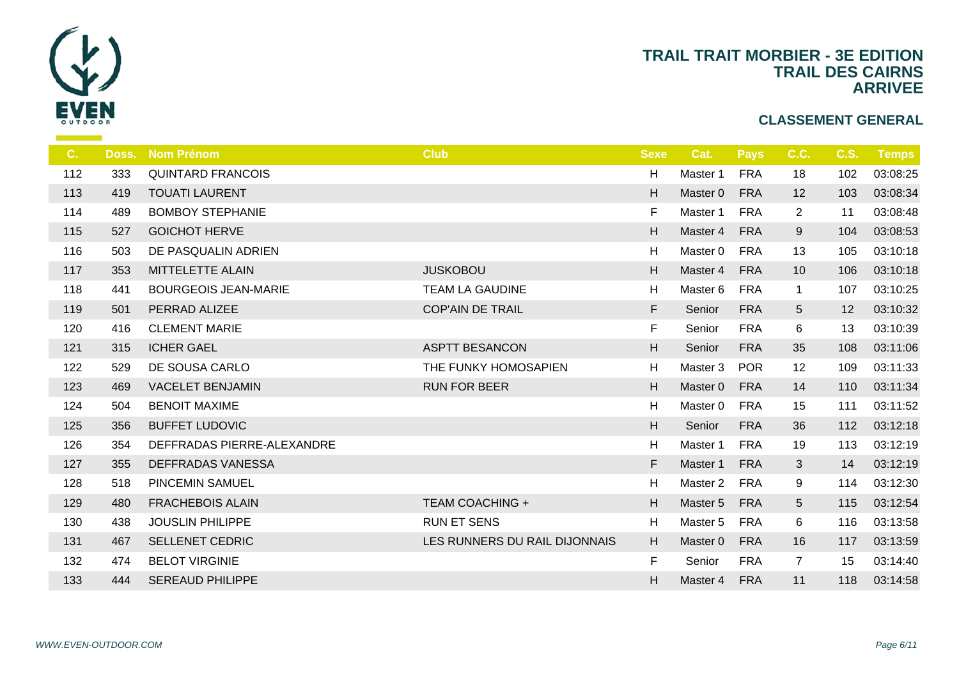

| Doss. | <b>Nom Prénom</b>           | <b>Club</b>                   | <b>Sexe</b> |                |
|-------|-----------------------------|-------------------------------|-------------|----------------|
| 333   | <b>QUINTARD FRANCOIS</b>    |                               | H           | Ma             |
| 419   | <b>TOUATI LAURENT</b>       |                               | H           | Ma             |
| 489   | <b>BOMBOY STEPHANIE</b>     |                               | F.          | Ma             |
| 527   | <b>GOICHOT HERVE</b>        |                               | H           | Ma             |
| 503   | DE PASQUALIN ADRIEN         |                               | H           | Ma             |
| 353   | MITTELETTE ALAIN            | <b>JUSKOBOU</b>               | H           | Ma             |
| 441   | <b>BOURGEOIS JEAN-MARIE</b> | <b>TEAM LA GAUDINE</b>        | H           | Ma             |
| 501   | PERRAD ALIZEE               | <b>COP'AIN DE TRAIL</b>       | F           | S <sub>6</sub> |
| 416   | <b>CLEMENT MARIE</b>        |                               | F           | $S_{\epsilon}$ |
| 315   | <b>ICHER GAEL</b>           | <b>ASPTT BESANCON</b>         | H.          | $S_6$          |
| 529   | DE SOUSA CARLO              | THE FUNKY HOMOSAPIEN          | H           | Ma             |
| 469   | <b>VACELET BENJAMIN</b>     | <b>RUN FOR BEER</b>           | H           | Ma             |
| 504   | <b>BENOIT MAXIME</b>        |                               | H           | Ma             |
| 356   | <b>BUFFET LUDOVIC</b>       |                               | H           | S <sub>6</sub> |
| 354   | DEFFRADAS PIERRE-ALEXANDRE  |                               | H           | Ma             |
| 355   | DEFFRADAS VANESSA           |                               | F           | Ma             |
| 518   | <b>PINCEMIN SAMUEL</b>      |                               | H           | Ma             |
| 480   | <b>FRACHEBOIS ALAIN</b>     | <b>TEAM COACHING +</b>        | H           | Ma             |
| 438   | <b>JOUSLIN PHILIPPE</b>     | <b>RUN ET SENS</b>            | H           | Ma             |
| 467   | <b>SELLENET CEDRIC</b>      | LES RUNNERS DU RAIL DIJONNAIS | H           | Ma             |
| 474   | <b>BELOT VIRGINIE</b>       |                               | F           | $S_{\epsilon}$ |
| 444   | <b>SEREAUD PHILIPPE</b>     |                               | H           | Ma             |
|       |                             |                               |             |                |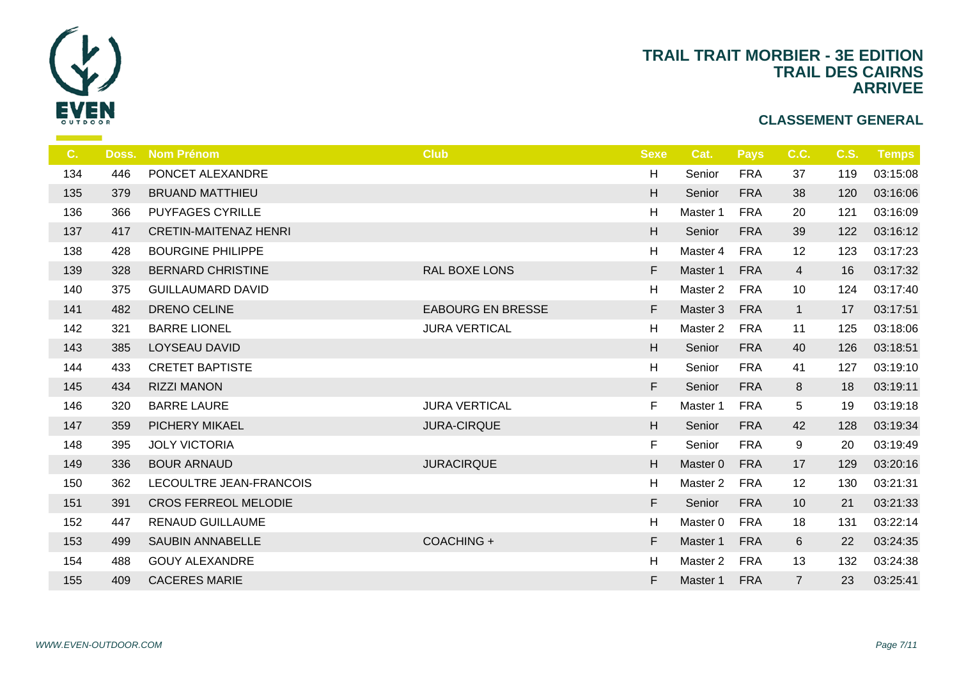

| C.  | Doss. | <b>Nom Prénom</b>            | <b>Club</b>              | <b>Sexe</b>               |                |
|-----|-------|------------------------------|--------------------------|---------------------------|----------------|
| 134 | 446   | PONCET ALEXANDRE             |                          | H                         | $S_6$          |
| 135 | 379   | <b>BRUAND MATTHIEU</b>       |                          | H                         | S <sub>6</sub> |
| 136 | 366   | <b>PUYFAGES CYRILLE</b>      |                          | H                         | Ma             |
| 137 | 417   | <b>CRETIN-MAITENAZ HENRI</b> |                          | H                         | S <sub>6</sub> |
| 138 | 428   | <b>BOURGINE PHILIPPE</b>     |                          | H                         | Ma             |
| 139 | 328   | <b>BERNARD CHRISTINE</b>     | RAL BOXE LONS            | F                         | Ma             |
| 140 | 375   | <b>GUILLAUMARD DAVID</b>     |                          | H                         | Ma             |
| 141 | 482   | DRENO CELINE                 | <b>EABOURG EN BRESSE</b> | F                         | Ma             |
| 142 | 321   | <b>BARRE LIONEL</b>          | <b>JURA VERTICAL</b>     | H                         | Ma             |
| 143 | 385   | <b>LOYSEAU DAVID</b>         |                          | H.                        | S <sub>6</sub> |
| 144 | 433   | <b>CRETET BAPTISTE</b>       |                          | H                         | $S_{\epsilon}$ |
| 145 | 434   | <b>RIZZI MANON</b>           |                          | F                         | S <sub>6</sub> |
| 146 | 320   | <b>BARRE LAURE</b>           | <b>JURA VERTICAL</b>     | F.                        | Ma             |
| 147 | 359   | PICHERY MIKAEL               | <b>JURA-CIRQUE</b>       | $\boldsymbol{\mathsf{H}}$ | S <sub>6</sub> |
| 148 | 395   | <b>JOLY VICTORIA</b>         |                          | F.                        | $S_{\epsilon}$ |
| 149 | 336   | <b>BOUR ARNAUD</b>           | <b>JURACIRQUE</b>        | H                         | Ma             |
| 150 | 362   | LECOULTRE JEAN-FRANCOIS      |                          | H                         | Ma             |
| 151 | 391   | <b>CROS FERREOL MELODIE</b>  |                          | F                         | S <sub>6</sub> |
| 152 | 447   | <b>RENAUD GUILLAUME</b>      |                          | H                         | Ma             |
| 153 | 499   | <b>SAUBIN ANNABELLE</b>      | COACHING +               | F.                        | Ma             |
| 154 | 488   | <b>GOUY ALEXANDRE</b>        |                          | H                         | Ma             |
| 155 | 409   | <b>CACERES MARIE</b>         |                          | F                         | Ma             |
|     |       |                              |                          |                           |                |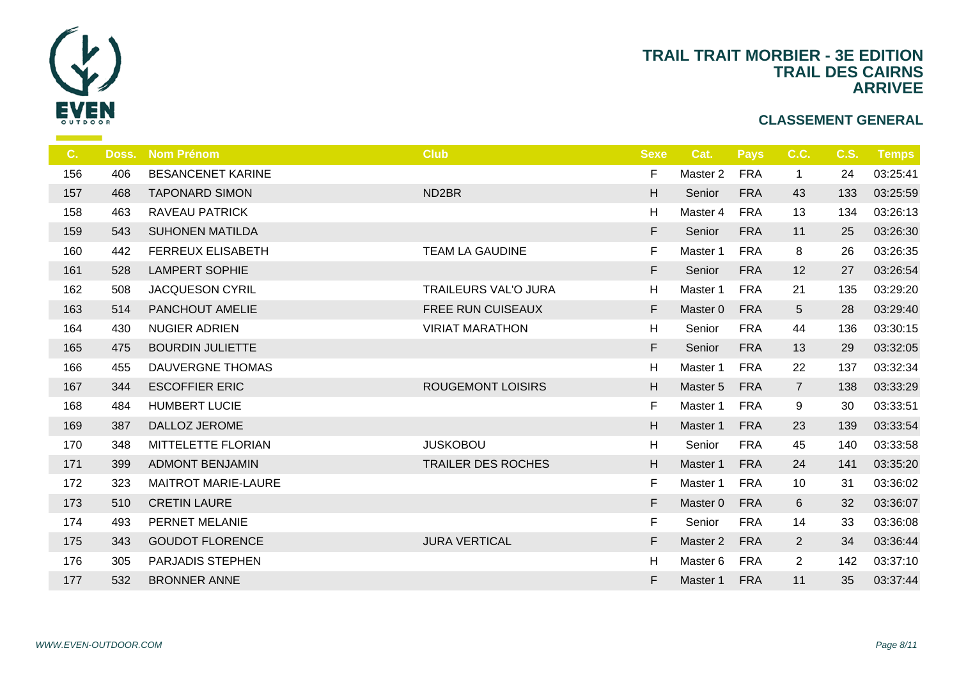

| C.  | Doss. | <b>Nom Prénom</b>          | <b>Club</b>                 | <b>Sexe</b> | -C             |
|-----|-------|----------------------------|-----------------------------|-------------|----------------|
| 156 | 406   | <b>BESANCENET KARINE</b>   |                             | F           | Ma             |
| 157 | 468   | <b>TAPONARD SIMON</b>      | ND <sub>2</sub> BR          | H           | S <sub>d</sub> |
| 158 | 463   | RAVEAU PATRICK             |                             | H           | Ma             |
| 159 | 543   | <b>SUHONEN MATILDA</b>     |                             | F           | S <sub>d</sub> |
| 160 | 442   | <b>FERREUX ELISABETH</b>   | <b>TEAM LA GAUDINE</b>      | F           | Ma             |
| 161 | 528   | <b>LAMPERT SOPHIE</b>      |                             | F           | S <sub>6</sub> |
| 162 | 508   | JACQUESON CYRIL            | <b>TRAILEURS VAL'O JURA</b> | H           | Ma             |
| 163 | 514   | PANCHOUT AMELIE            | FREE RUN CUISEAUX           | F           | Ma             |
| 164 | 430   | <b>NUGIER ADRIEN</b>       | <b>VIRIAT MARATHON</b>      | H           | S <sub>6</sub> |
| 165 | 475   | <b>BOURDIN JULIETTE</b>    |                             | F           | S <sub>6</sub> |
| 166 | 455   | DAUVERGNE THOMAS           |                             | H           | Ma             |
| 167 | 344   | <b>ESCOFFIER ERIC</b>      | <b>ROUGEMONT LOISIRS</b>    | H           | Ma             |
| 168 | 484   | <b>HUMBERT LUCIE</b>       |                             | F.          | Ma             |
| 169 | 387   | DALLOZ JEROME              |                             | H           | Mas            |
| 170 | 348   | MITTELETTE FLORIAN         | <b>JUSKOBOU</b>             | H           | S <sub>6</sub> |
| 171 | 399   | <b>ADMONT BENJAMIN</b>     | <b>TRAILER DES ROCHES</b>   | H           | Ma             |
| 172 | 323   | <b>MAITROT MARIE-LAURE</b> |                             | F           | Ma             |
| 173 | 510   | <b>CRETIN LAURE</b>        |                             | F           | Ma             |
| 174 | 493   | PERNET MELANIE             |                             | F.          | S <sub>6</sub> |
| 175 | 343   | <b>GOUDOT FLORENCE</b>     | <b>JURA VERTICAL</b>        | F           | Mas            |
| 176 | 305   | PARJADIS STEPHEN           |                             | H           | Ma             |
| 177 | 532   | <b>BRONNER ANNE</b>        |                             | F           | Mas            |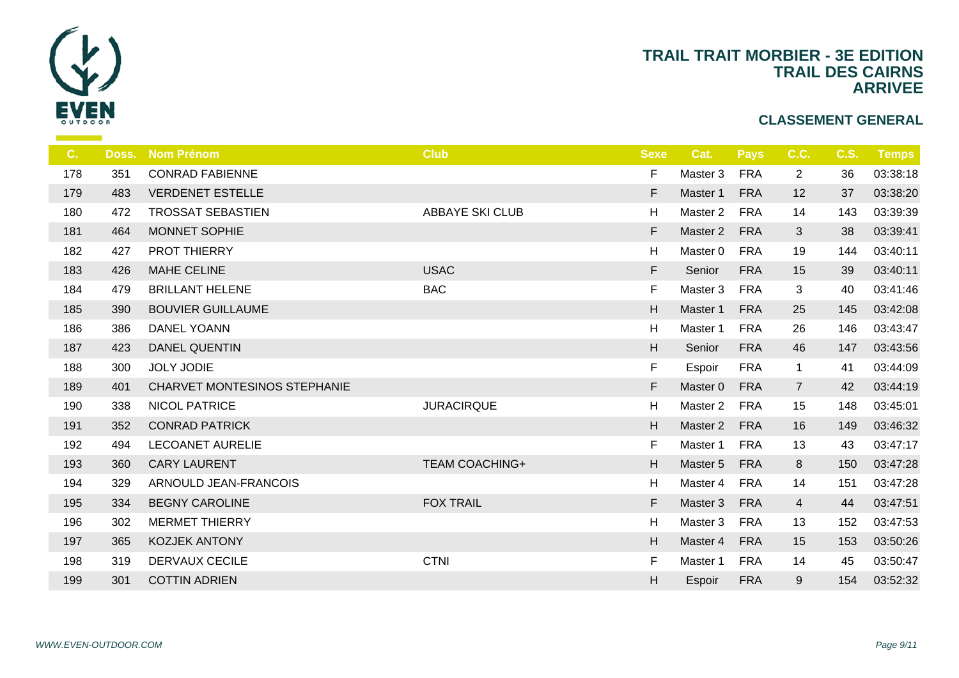

| $C_{\cdot}$ | Doss. | <b>Nom Prénom</b>            | <b>Club</b>            | <b>Sexe</b> |                |
|-------------|-------|------------------------------|------------------------|-------------|----------------|
| 178         | 351   | <b>CONRAD FABIENNE</b>       |                        | F           | Ma             |
| 179         | 483   | <b>VERDENET ESTELLE</b>      |                        | F           | Ma             |
| 180         | 472   | <b>TROSSAT SEBASTIEN</b>     | <b>ABBAYE SKI CLUB</b> | H           | Ma             |
| 181         | 464   | MONNET SOPHIE                |                        | F           | Ma             |
| 182         | 427   | PROT THIERRY                 |                        | H           | Ma             |
| 183         | 426   | <b>MAHE CELINE</b>           | <b>USAC</b>            | F           | S <sub>6</sub> |
| 184         | 479   | <b>BRILLANT HELENE</b>       | <b>BAC</b>             | F.          | Ma             |
| 185         | 390   | <b>BOUVIER GUILLAUME</b>     |                        | H           | Ma             |
| 186         | 386   | <b>DANEL YOANN</b>           |                        | H           | Ma             |
| 187         | 423   | <b>DANEL QUENTIN</b>         |                        | H           | S <sub>6</sub> |
| 188         | 300   | JOLY JODIE                   |                        | F           | Es             |
| 189         | 401   | CHARVET MONTESINOS STEPHANIE |                        | F.          | Ma             |
| 190         | 338   | <b>NICOL PATRICE</b>         | <b>JURACIRQUE</b>      | H           | Ma             |
| 191         | 352   | <b>CONRAD PATRICK</b>        |                        | H           | Ma             |
| 192         | 494   | <b>LECOANET AURELIE</b>      |                        | F           | Ma             |
| 193         | 360   | <b>CARY LAURENT</b>          | <b>TEAM COACHING+</b>  | H           | Ma             |
| 194         | 329   | ARNOULD JEAN-FRANCOIS        |                        | H           | Ma             |
| 195         | 334   | <b>BEGNY CAROLINE</b>        | <b>FOX TRAIL</b>       | F           | Ma             |
| 196         | 302   | <b>MERMET THIERRY</b>        |                        | H           | Ma             |
| 197         | 365   | <b>KOZJEK ANTONY</b>         |                        | H           | Ma             |
| 198         | 319   | <b>DERVAUX CECILE</b>        | <b>CTNI</b>            | F           | Ma             |
| 199         | 301   | <b>COTTIN ADRIEN</b>         |                        | H           | Es             |
|             |       |                              |                        |             |                |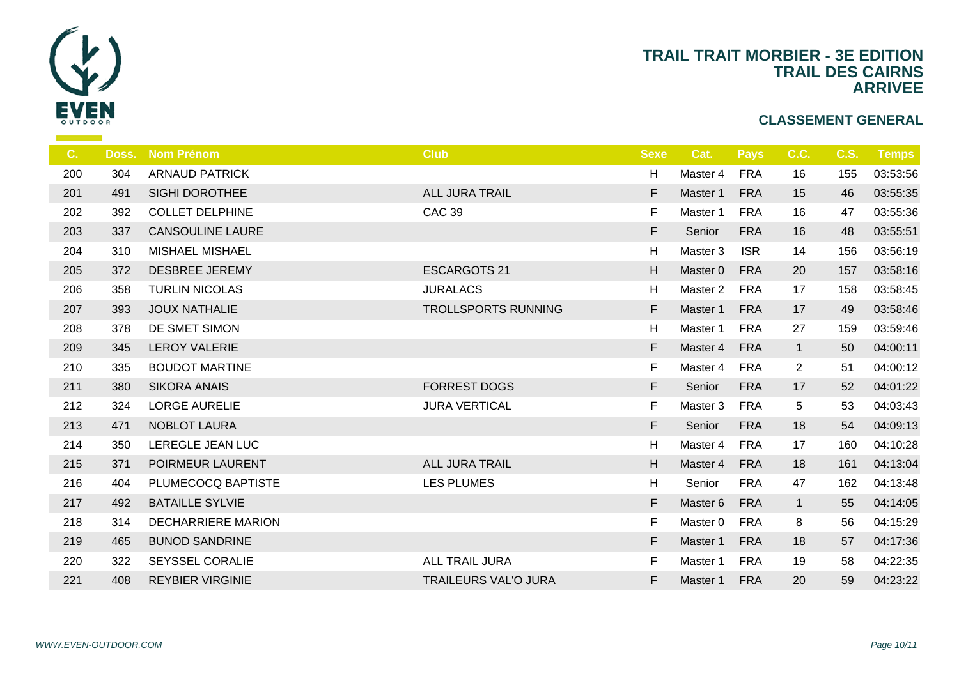

| C.  | Doss. | <b>Nom Prénom</b>         | <b>Club</b>                 | <b>Sexe</b> | -C             |
|-----|-------|---------------------------|-----------------------------|-------------|----------------|
| 200 | 304   | <b>ARNAUD PATRICK</b>     |                             | H           | Ma             |
| 201 | 491   | SIGHI DOROTHEE            | <b>ALL JURA TRAIL</b>       | F           | Ma             |
| 202 | 392   | <b>COLLET DELPHINE</b>    | <b>CAC 39</b>               | F           | Ma             |
| 203 | 337   | <b>CANSOULINE LAURE</b>   |                             | F           | S <sub>6</sub> |
| 204 | 310   | <b>MISHAEL MISHAEL</b>    |                             | H           | Ma             |
| 205 | 372   | <b>DESBREE JEREMY</b>     | <b>ESCARGOTS 21</b>         | H           | Ma             |
| 206 | 358   | <b>TURLIN NICOLAS</b>     | <b>JURALACS</b>             | H           | Ma             |
| 207 | 393   | <b>JOUX NATHALIE</b>      | TROLLSPORTS RUNNING         | F.          | Ma             |
| 208 | 378   | DE SMET SIMON             |                             | H           | Ma             |
| 209 | 345   | <b>LEROY VALERIE</b>      |                             | F           | Ma             |
| 210 | 335   | <b>BOUDOT MARTINE</b>     |                             | F           | Ma             |
| 211 | 380   | <b>SIKORA ANAIS</b>       | <b>FORREST DOGS</b>         | F           | S <sub>6</sub> |
| 212 | 324   | <b>LORGE AURELIE</b>      | <b>JURA VERTICAL</b>        | F.          | Ma             |
| 213 | 471   | NOBLOT LAURA              |                             | F.          | S <sub>d</sub> |
| 214 | 350   | LEREGLE JEAN LUC          |                             | H           | Ma             |
| 215 | 371   | POIRMEUR LAURENT          | <b>ALL JURA TRAIL</b>       | H           | Ma             |
| 216 | 404   | PLUMECOCQ BAPTISTE        | <b>LES PLUMES</b>           | H           | S <sub>d</sub> |
| 217 | 492   | <b>BATAILLE SYLVIE</b>    |                             | F           | Ma             |
| 218 | 314   | <b>DECHARRIERE MARION</b> |                             | F           | Ma             |
| 219 | 465   | <b>BUNOD SANDRINE</b>     |                             | F           | Ma             |
| 220 | 322   | <b>SEYSSEL CORALIE</b>    | ALL TRAIL JURA              | F           | Ma             |
| 221 | 408   | <b>REYBIER VIRGINIE</b>   | <b>TRAILEURS VAL'O JURA</b> | F.          | Ma             |